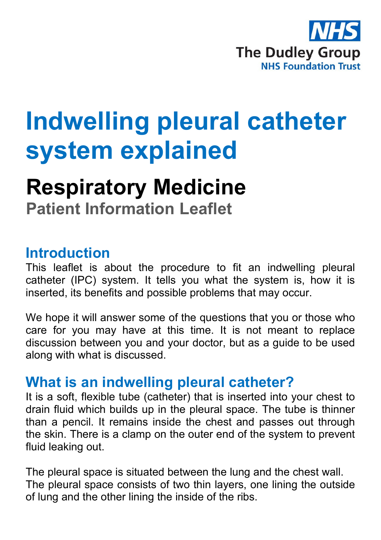

# **Indwelling pleural catheter system explained**

## **Respiratory Medicine**

**Patient Information Leaflet**

#### **Introduction**

This leaflet is about the procedure to fit an indwelling pleural catheter (IPC) system. It tells you what the system is, how it is inserted, its benefits and possible problems that may occur.

We hope it will answer some of the questions that you or those who care for you may have at this time. It is not meant to replace discussion between you and your doctor, but as a guide to be used along with what is discussed.

#### **What is an indwelling pleural catheter?**

It is a soft, flexible tube (catheter) that is inserted into your chest to drain fluid which builds up in the pleural space. The tube is thinner than a pencil. It remains inside the chest and passes out through the skin. There is a clamp on the outer end of the system to prevent fluid leaking out.

The pleural space is situated between the lung and the chest wall. The pleural space consists of two thin layers, one lining the outside of lung and the other lining the inside of the ribs.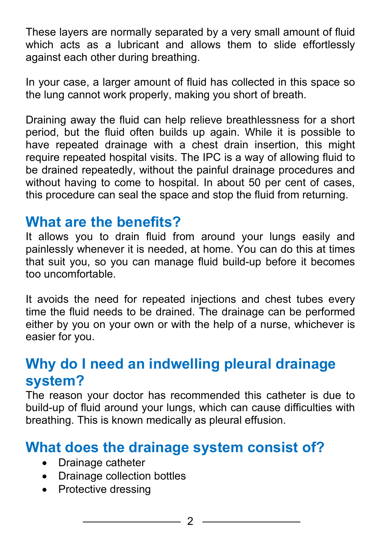These layers are normally separated by a very small amount of fluid which acts as a lubricant and allows them to slide effortlessly against each other during breathing.

In your case, a larger amount of fluid has collected in this space so the lung cannot work properly, making you short of breath.

Draining away the fluid can help relieve breathlessness for a short period, but the fluid often builds up again. While it is possible to have repeated drainage with a chest drain insertion, this might require repeated hospital visits. The IPC is a way of allowing fluid to be drained repeatedly, without the painful drainage procedures and without having to come to hospital. In about 50 per cent of cases, this procedure can seal the space and stop the fluid from returning.

#### **What are the benefits?**

It allows you to drain fluid from around your lungs easily and painlessly whenever it is needed, at home. You can do this at times that suit you, so you can manage fluid build-up before it becomes too uncomfortable.

It avoids the need for repeated injections and chest tubes every time the fluid needs to be drained. The drainage can be performed either by you on your own or with the help of a nurse, whichever is easier for you.

### **Why do I need an indwelling pleural drainage system?**

The reason your doctor has recommended this catheter is due to build-up of fluid around your lungs, which can cause difficulties with breathing. This is known medically as pleural effusion.

#### **What does the drainage system consist of?**

- Drainage catheter
- Drainage collection bottles
- Protective dressing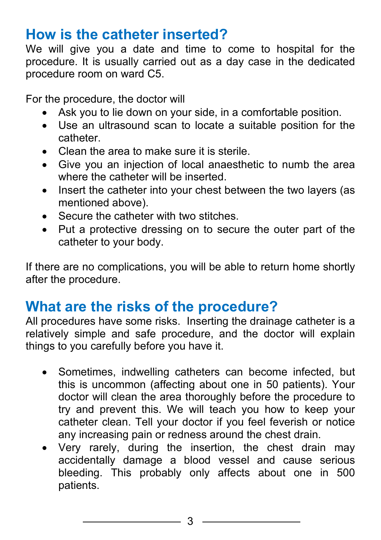#### **How is the catheter inserted?**

We will give you a date and time to come to hospital for the procedure. It is usually carried out as a day case in the dedicated procedure room on ward C5.

For the procedure, the doctor will

- Ask you to lie down on your side, in a comfortable position.
- Use an ultrasound scan to locate a suitable position for the catheter.
- Clean the area to make sure it is sterile.
- Give you an injection of local anaesthetic to numb the area where the catheter will be inserted.
- Insert the catheter into your chest between the two layers (as mentioned above).
- Secure the catheter with two stitches
- Put a protective dressing on to secure the outer part of the catheter to your body.

If there are no complications, you will be able to return home shortly after the procedure.

#### **What are the risks of the procedure?**

All procedures have some risks. Inserting the drainage catheter is a relatively simple and safe procedure, and the doctor will explain things to you carefully before you have it.

- Sometimes, indwelling catheters can become infected, but this is uncommon (affecting about one in 50 patients). Your doctor will clean the area thoroughly before the procedure to try and prevent this. We will teach you how to keep your catheter clean. Tell your doctor if you feel feverish or notice any increasing pain or redness around the chest drain.
- Very rarely, during the insertion, the chest drain may accidentally damage a blood vessel and cause serious bleeding. This probably only affects about one in 500 patients.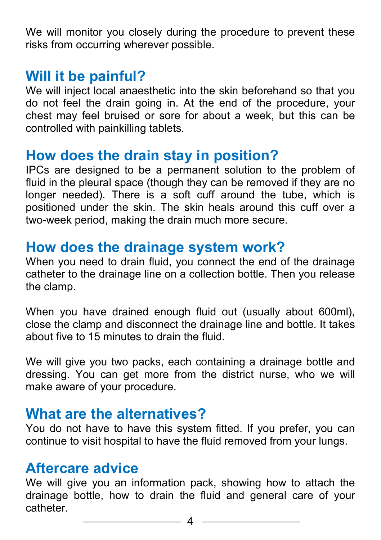We will monitor you closely during the procedure to prevent these risks from occurring wherever possible.

#### **Will it be painful?**

We will inject local anaesthetic into the skin beforehand so that you do not feel the drain going in. At the end of the procedure, your chest may feel bruised or sore for about a week, but this can be controlled with painkilling tablets.

#### **How does the drain stay in position?**

IPCs are designed to be a permanent solution to the problem of fluid in the pleural space (though they can be removed if they are no longer needed). There is a soft cuff around the tube, which is positioned under the skin. The skin heals around this cuff over a two-week period, making the drain much more secure.

#### **How does the drainage system work?**

When you need to drain fluid, you connect the end of the drainage catheter to the drainage line on a collection bottle. Then you release the clamp.

When you have drained enough fluid out (usually about 600ml), close the clamp and disconnect the drainage line and bottle. It takes about five to 15 minutes to drain the fluid.

We will give you two packs, each containing a drainage bottle and dressing. You can get more from the district nurse, who we will make aware of your procedure.

#### **What are the alternatives?**

You do not have to have this system fitted. If you prefer, you can continue to visit hospital to have the fluid removed from your lungs.

#### **Aftercare advice**

We will give you an information pack, showing how to attach the drainage bottle, how to drain the fluid and general care of your catheter.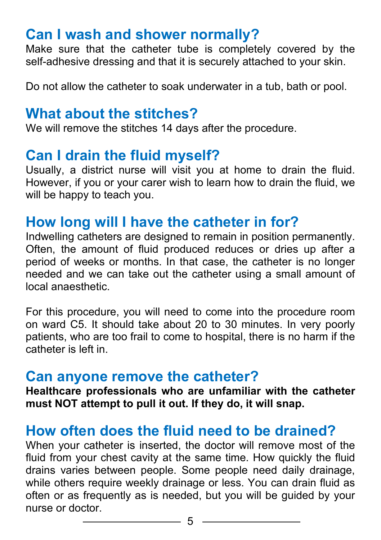#### **Can I wash and shower normally?**

Make sure that the catheter tube is completely covered by the self-adhesive dressing and that it is securely attached to your skin.

Do not allow the catheter to soak underwater in a tub, bath or pool.

#### **What about the stitches?**

We will remove the stitches 14 days after the procedure.

#### **Can I drain the fluid myself?**

Usually, a district nurse will visit you at home to drain the fluid. However, if you or your carer wish to learn how to drain the fluid, we will be happy to teach you.

#### **How long will I have the catheter in for?**

Indwelling catheters are designed to remain in position permanently. Often, the amount of fluid produced reduces or dries up after a period of weeks or months. In that case, the catheter is no longer needed and we can take out the catheter using a small amount of local anaesthetic.

For this procedure, you will need to come into the procedure room on ward C5. It should take about 20 to 30 minutes. In very poorly patients, who are too frail to come to hospital, there is no harm if the catheter is left in.

#### **Can anyone remove the catheter?**

**Healthcare professionals who are unfamiliar with the catheter must NOT attempt to pull it out. If they do, it will snap.**

#### **How often does the fluid need to be drained?**

When your catheter is inserted, the doctor will remove most of the fluid from your chest cavity at the same time. How quickly the fluid drains varies between people. Some people need daily drainage, while others require weekly drainage or less. You can drain fluid as often or as frequently as is needed, but you will be guided by your nurse or doctor.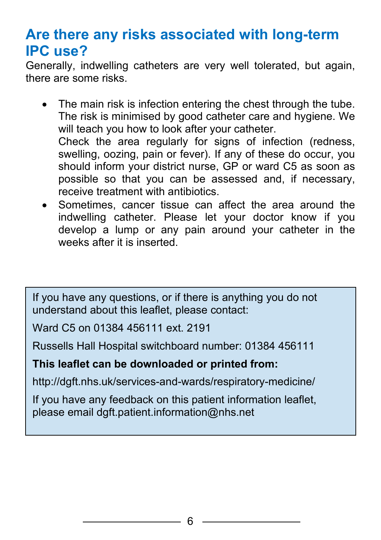#### **Are there any risks associated with long-term IPC use?**

Generally, indwelling catheters are very well tolerated, but again, there are some risks.

- The main risk is infection entering the chest through the tube. The risk is minimised by good catheter care and hygiene. We will teach you how to look after your catheter. Check the area regularly for signs of infection (redness, swelling, oozing, pain or fever). If any of these do occur, you should inform your district nurse, GP or ward C5 as soon as possible so that you can be assessed and, if necessary, receive treatment with antibiotics.
- Sometimes, cancer tissue can affect the area around the indwelling catheter. Please let your doctor know if you develop a lump or any pain around your catheter in the weeks after it is inserted.

If you have any questions, or if there is anything you do not understand about this leaflet, please contact:

Ward C5 on 01384 456111 ext. 2191

Russells Hall Hospital switchboard number: 01384 456111

#### **This leaflet can be downloaded or printed from:**

http://dgft.nhs.uk/services-and-wards/respiratory-medicine/

If you have any feedback on this patient information leaflet, please email dgft.patient.information@nhs.net